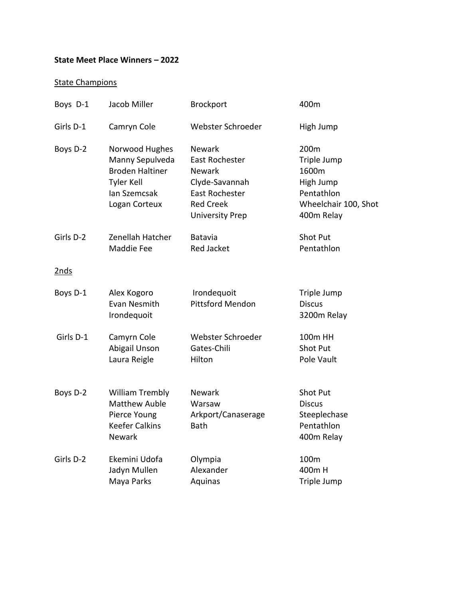## **State Meet Place Winners – 2022**

## **State Champions**

| Boys D-1  | Jacob Miller                                                                                                      | <b>Brockport</b>                                                                                                                   | 400m                                                                                          |
|-----------|-------------------------------------------------------------------------------------------------------------------|------------------------------------------------------------------------------------------------------------------------------------|-----------------------------------------------------------------------------------------------|
| Girls D-1 | Camryn Cole                                                                                                       | Webster Schroeder                                                                                                                  | High Jump                                                                                     |
| Boys D-2  | Norwood Hughes<br>Manny Sepulveda<br><b>Broden Haltiner</b><br><b>Tyler Kell</b><br>Ian Szemcsak<br>Logan Corteux | <b>Newark</b><br>East Rochester<br><b>Newark</b><br>Clyde-Savannah<br>East Rochester<br><b>Red Creek</b><br><b>University Prep</b> | 200m<br>Triple Jump<br>1600m<br>High Jump<br>Pentathlon<br>Wheelchair 100, Shot<br>400m Relay |
| Girls D-2 | Zenellah Hatcher<br><b>Maddie Fee</b>                                                                             | Batavia<br><b>Red Jacket</b>                                                                                                       | Shot Put<br>Pentathlon                                                                        |
| 2nds      |                                                                                                                   |                                                                                                                                    |                                                                                               |
| Boys D-1  | Alex Kogoro<br>Evan Nesmith<br>Irondequoit                                                                        | Irondequoit<br><b>Pittsford Mendon</b>                                                                                             | Triple Jump<br><b>Discus</b><br>3200m Relay                                                   |
| Girls D-1 | Camyrn Cole<br>Abigail Unson<br>Laura Reigle                                                                      | Webster Schroeder<br>Gates-Chili<br>Hilton                                                                                         | 100m HH<br><b>Shot Put</b><br>Pole Vault                                                      |
| Boys D-2  | <b>William Trembly</b><br><b>Matthew Auble</b><br>Pierce Young<br><b>Keefer Calkins</b><br><b>Newark</b>          | <b>Newark</b><br>Warsaw<br>Arkport/Canaserage<br>Bath                                                                              | <b>Shot Put</b><br><b>Discus</b><br>Steeplechase<br>Pentathlon<br>400m Relay                  |
| Girls D-2 | Ekemini Udofa<br>Jadyn Mullen<br>Maya Parks                                                                       | Olympia<br>Alexander<br>Aquinas                                                                                                    | 100m<br>400m H<br>Triple Jump                                                                 |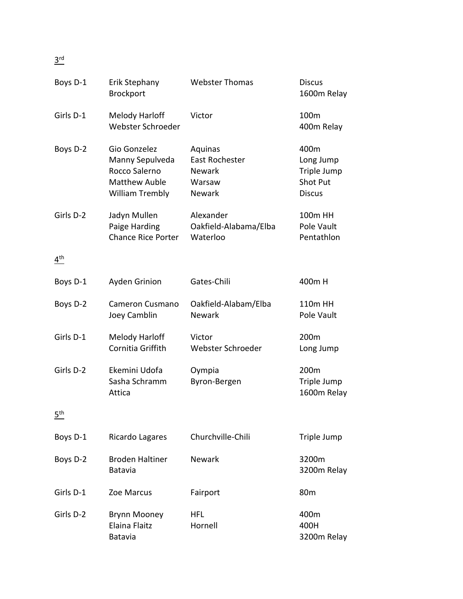3 rd

| Boys D-1        | Erik Stephany<br><b>Brockport</b>                                                           | <b>Webster Thomas</b>                                          | <b>Discus</b><br>1600m Relay                                         |
|-----------------|---------------------------------------------------------------------------------------------|----------------------------------------------------------------|----------------------------------------------------------------------|
| Girls D-1       | Melody Harloff<br>Webster Schroeder                                                         | Victor                                                         | 100m<br>400m Relay                                                   |
| Boys D-2        | Gio Gonzelez<br>Manny Sepulveda<br>Rocco Salerno<br><b>Matthew Auble</b><br>William Trembly | Aquinas<br>East Rochester<br><b>Newark</b><br>Warsaw<br>Newark | 400m<br>Long Jump<br>Triple Jump<br><b>Shot Put</b><br><b>Discus</b> |
| Girls D-2       | Jadyn Mullen<br>Paige Harding<br><b>Chance Rice Porter</b>                                  | Alexander<br>Oakfield-Alabama/Elba<br>Waterloo                 | 100m HH<br>Pole Vault<br>Pentathlon                                  |
| 4 <sup>th</sup> |                                                                                             |                                                                |                                                                      |
| Boys D-1        | Ayden Grinion                                                                               | Gates-Chili                                                    | 400m H                                                               |
| Boys D-2        | Cameron Cusmano<br>Joey Camblin                                                             | Oakfield-Alabam/Elba<br><b>Newark</b>                          | 110m HH<br>Pole Vault                                                |
| Girls D-1       | Melody Harloff<br>Cornitia Griffith                                                         | Victor<br>Webster Schroeder                                    | 200m<br>Long Jump                                                    |
| Girls D-2       | Ekemini Udofa<br>Sasha Schramm<br>Attica                                                    | Oympia<br>Byron-Bergen                                         | 200m<br>Triple Jump<br>1600m Relay                                   |
| 5 <sup>th</sup> |                                                                                             |                                                                |                                                                      |
| Boys D-1        | Ricardo Lagares                                                                             | Churchville-Chili                                              | Triple Jump                                                          |
| Boys D-2        | <b>Broden Haltiner</b><br>Batavia                                                           | <b>Newark</b>                                                  | 3200m<br>3200m Relay                                                 |
| Girls D-1       | Zoe Marcus                                                                                  | Fairport                                                       | 80 <sub>m</sub>                                                      |
| Girls D-2       | <b>Brynn Mooney</b><br>Elaina Flaitz<br>Batavia                                             | <b>HFL</b><br>Hornell                                          | 400m<br>400H<br>3200m Relay                                          |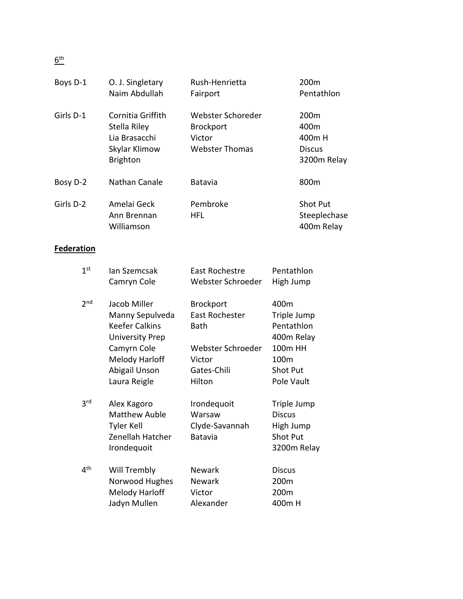## $\underline{6}^{\text{th}}$

| Boys D-1          | O. J. Singletary<br>Naim Abdullah                                                                                                                           | Rush-Henrietta<br>Fairport                                                                                | 200m<br>Pentathlon                                                                           |
|-------------------|-------------------------------------------------------------------------------------------------------------------------------------------------------------|-----------------------------------------------------------------------------------------------------------|----------------------------------------------------------------------------------------------|
| Girls D-1         | Cornitia Griffith<br>Stella Riley<br>Lia Brasacchi<br>Skylar Klimow<br><b>Brighton</b>                                                                      | Webster Schoreder<br><b>Brockport</b><br>Victor<br><b>Webster Thomas</b>                                  | 200m<br>400m<br>400m H<br><b>Discus</b><br>3200m Relay                                       |
| Bosy D-2          | Nathan Canale                                                                                                                                               | <b>Batavia</b>                                                                                            | 800m                                                                                         |
| Girls D-2         | Amelai Geck<br>Ann Brennan<br>Williamson                                                                                                                    | Pembroke<br><b>HFL</b>                                                                                    | Shot Put<br>Steeplechase<br>400m Relay                                                       |
| <b>Federation</b> |                                                                                                                                                             |                                                                                                           |                                                                                              |
| 1 <sup>st</sup>   | Ian Szemcsak<br>Camryn Cole                                                                                                                                 | East Rochestre<br>Webster Schroeder                                                                       | Pentathlon<br>High Jump                                                                      |
| 2 <sub>nd</sub>   | Jacob Miller<br>Manny Sepulveda<br><b>Keefer Calkins</b><br><b>University Prep</b><br>Camyrn Cole<br><b>Melody Harloff</b><br>Abigail Unson<br>Laura Reigle | <b>Brockport</b><br>East Rochester<br><b>Bath</b><br>Webster Schroeder<br>Victor<br>Gates-Chili<br>Hilton | 400m<br>Triple Jump<br>Pentathlon<br>400m Relay<br>100m HH<br>100m<br>Shot Put<br>Pole Vault |
| 3 <sup>rd</sup>   | Alex Kagoro<br>Matthew Auble<br><b>Tyler Kell</b><br>Zenellah Hatcher<br>Irondequoit                                                                        | Irondequoit<br>Warsaw<br>Clyde-Savannah<br><b>Batavia</b>                                                 | Triple Jump<br>Discus<br>High Jump<br>Shot Put<br>3200m Relay                                |
| 4 <sup>th</sup>   | Will Trembly<br>Norwood Hughes<br><b>Melody Harloff</b><br>Jadyn Mullen                                                                                     | <b>Newark</b><br><b>Newark</b><br>Victor<br>Alexander                                                     | <b>Discus</b><br>200m<br>200m<br>400m H                                                      |